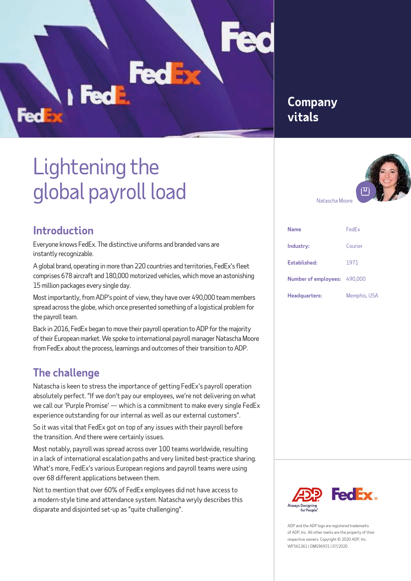### **Company vitals**

# Lightening the global payroll load

#### **Introduction**

FedE

Everyone knows FedEx. The distinctive uniforms and branded vans are instantly recognizable.

A global brand, operating in more than 220 countries and territories, FedEx's fleet comprises 678 aircraft and 180,000 motorized vehicles, which move an astonishing 15 million packages every single day.

Most importantly, from ADP's point of view, they have over 490,000 team members spread across the globe, which once presented something of a logistical problem for the payroll team.

Back in 2016, FedEx began to move their payroll operation to ADP for the majority of their European market. We spoke to international payroll manager Natascha Moore from FedEx about the process, learnings and outcomes of their transition to ADP.

## **The challenge**

Natascha is keen to stress the importance of getting FedEx's payroll operation absolutely perfect. "If we don't pay our employees, we're not delivering on what we call our 'Purple Promise' — which is a commitment to make every single FedEx experience outstanding for our internal as well as our external customers".

So it was vital that FedEx got on top of any issues with their payroll before the transition. And there were certainly issues.

Most notably, payroll was spread across over 100 teams worldwide, resulting in a lack of international escalation paths and very limited best-practice sharing. What's more, FedEx's various European regions and payroll teams were using over 68 different applications between them.

Not to mention that over 60% of FedEx employees did not have access to a modern-style time and attendance system. Natascha wryly describes this disparate and disjointed set-up as "quite challenging".



| <b>Name</b>                 | FedEx               |
|-----------------------------|---------------------|
| Industry:                   | Courier             |
| Established:                | 1971                |
| <b>Number of employees:</b> | 490,000             |
| Headquarters:               | <b>Memphis, USA</b> |



ADP and the ADP logo are registered trademarks of ADP, Inc. All other marks are the property of their respective owners. Copyright © 2020 ADP, Inc. WF561361 | OMG96931 | 07/2020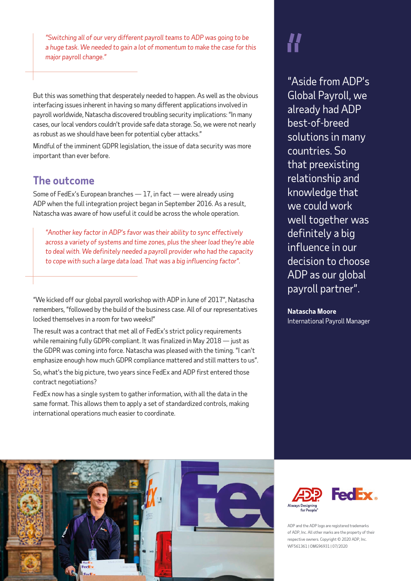*"Switching all of our very different payroll teams to ADP was going to be a huge task. We needed to gain a lot of momentum to make the case for this major payroll change."*

But this was something that desperately needed to happen. As well as the obvious interfacing issues inherent in having so many different applications involved in payroll worldwide, Natascha discovered troubling security implications: "In many cases, our local vendors couldn't provide safe data storage. So, we were not nearly as robust as we should have been for potential cyber attacks."

Mindful of the imminent GDPR legislation, the issue of data security was more important than ever before.

#### **The outcome**

Some of FedEx's European branches  $-17$ , in fact  $-$  were already using ADP when the full integration project began in September 2016. As a result, Natascha was aware of how useful it could be across the whole operation.

*"Another key factor in ADP's favor was their ability to sync effectively across a variety of systems and time zones, plus the sheer load they're able to deal with. We definitely needed a payroll provider who had the capacity to cope with such a large data load. That was a big influencing factor".*

"We kicked off our global payroll workshop with ADP in June of 2017", Natascha remembers, "followed by the build of the business case. All of our representatives locked themselves in a room for two weeks!"

The result was a contract that met all of FedEx's strict policy requirements while remaining fully GDPR-compliant. It was finalized in May 2018 — just as the GDPR was coming into force. Natascha was pleased with the timing. "I can't emphasize enough how much GDPR compliance mattered and still matters to us".

So, what's the big picture, two years since FedEx and ADP first entered those contract negotiations?

FedEx now has a single system to gather information, with all the data in the same format. This allows them to apply a set of standardized controls, making international operations much easier to coordinate.

"Aside from ADP's Global Payroll, we already had ADP best-of-breed solutions in many countries. So that preexisting relationship and knowledge that we could work well together was definitely a big influence in our decision to choose ADP as our global payroll partner".

**Natascha Moore** International Payroll Manager





ADP and the ADP logo are registered trademarks of ADP, Inc. All other marks are the property of their respective owners. Copyright © 2020 ADP, Inc. WF561361 | OMG96931 | 07/2020